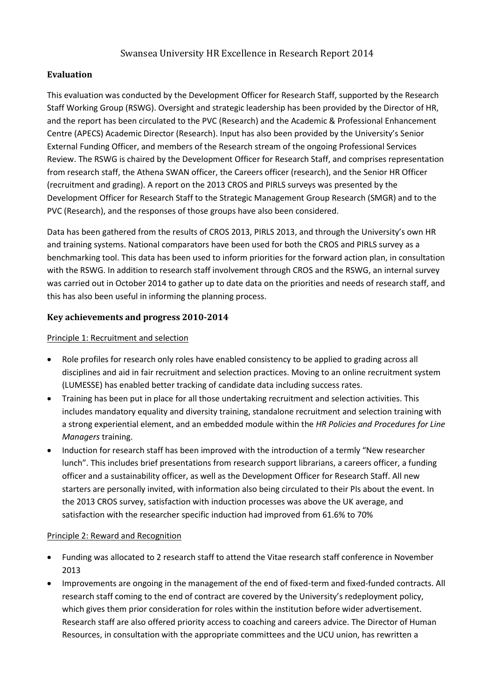# Swansea University HR Excellence in Research Report 2014

## **Evaluation**

This evaluation was conducted by the Development Officer for Research Staff, supported by the Research Staff Working Group (RSWG). Oversight and strategic leadership has been provided by the Director of HR, and the report has been circulated to the PVC (Research) and the Academic & Professional Enhancement Centre (APECS) Academic Director (Research). Input has also been provided by the University's Senior External Funding Officer, and members of the Research stream of the ongoing Professional Services Review. The RSWG is chaired by the Development Officer for Research Staff, and comprises representation from research staff, the Athena SWAN officer, the Careers officer (research), and the Senior HR Officer (recruitment and grading). A report on the 2013 CROS and PIRLS surveys was presented by the Development Officer for Research Staff to the Strategic Management Group Research (SMGR) and to the PVC (Research), and the responses of those groups have also been considered.

Data has been gathered from the results of CROS 2013, PIRLS 2013, and through the University's own HR and training systems. National comparators have been used for both the CROS and PIRLS survey as a benchmarking tool. This data has been used to inform priorities for the forward action plan, in consultation with the RSWG. In addition to research staff involvement through CROS and the RSWG, an internal survey was carried out in October 2014 to gather up to date data on the priorities and needs of research staff, and this has also been useful in informing the planning process.

### **Key achievements and progress 2010-2014**

### Principle 1: Recruitment and selection

- Role profiles for research only roles have enabled consistency to be applied to grading across all disciplines and aid in fair recruitment and selection practices. Moving to an online recruitment system (LUMESSE) has enabled better tracking of candidate data including success rates.
- Training has been put in place for all those undertaking recruitment and selection activities. This includes mandatory equality and diversity training, standalone recruitment and selection training with a strong experiential element, and an embedded module within the *HR Policies and Procedures for Line Managers* training.
- Induction for research staff has been improved with the introduction of a termly "New researcher lunch". This includes brief presentations from research support librarians, a careers officer, a funding officer and a sustainability officer, as well as the Development Officer for Research Staff. All new starters are personally invited, with information also being circulated to their PIs about the event. In the 2013 CROS survey, satisfaction with induction processes was above the UK average, and satisfaction with the researcher specific induction had improved from 61.6% to 70%

#### Principle 2: Reward and Recognition

- Funding was allocated to 2 research staff to attend the Vitae research staff conference in November 2013
- Improvements are ongoing in the management of the end of fixed-term and fixed-funded contracts. All research staff coming to the end of contract are covered by the University's redeployment policy, which gives them prior consideration for roles within the institution before wider advertisement. Research staff are also offered priority access to coaching and careers advice. The Director of Human Resources, in consultation with the appropriate committees and the UCU union, has rewritten a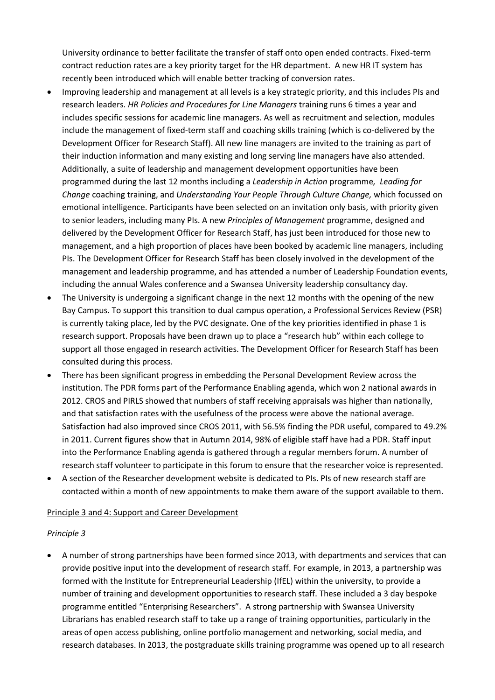University ordinance to better facilitate the transfer of staff onto open ended contracts. Fixed-term contract reduction rates are a key priority target for the HR department. A new HR IT system has recently been introduced which will enable better tracking of conversion rates.

- Improving leadership and management at all levels is a key strategic priority, and this includes PIs and research leaders. *HR Policies and Procedures for Line Managers* training runs 6 times a year and includes specific sessions for academic line managers. As well as recruitment and selection, modules include the management of fixed-term staff and coaching skills training (which is co-delivered by the Development Officer for Research Staff). All new line managers are invited to the training as part of their induction information and many existing and long serving line managers have also attended. Additionally, a suite of leadership and management development opportunities have been programmed during the last 12 months including a *Leadership in Action* programme*, Leading for Change* coaching training, and *Understanding Your People Through Culture Change,* which focussed on emotional intelligence. Participants have been selected on an invitation only basis, with priority given to senior leaders, including many PIs. A new *Principles of Management* programme, designed and delivered by the Development Officer for Research Staff, has just been introduced for those new to management, and a high proportion of places have been booked by academic line managers, including PIs. The Development Officer for Research Staff has been closely involved in the development of the management and leadership programme, and has attended a number of Leadership Foundation events, including the annual Wales conference and a Swansea University leadership consultancy day.
- The University is undergoing a significant change in the next 12 months with the opening of the new Bay Campus. To support this transition to dual campus operation, a Professional Services Review (PSR) is currently taking place, led by the PVC designate. One of the key priorities identified in phase 1 is research support. Proposals have been drawn up to place a "research hub" within each college to support all those engaged in research activities. The Development Officer for Research Staff has been consulted during this process.
- There has been significant progress in embedding the Personal Development Review across the institution. The PDR forms part of the Performance Enabling agenda, which won 2 national awards in 2012. CROS and PIRLS showed that numbers of staff receiving appraisals was higher than nationally, and that satisfaction rates with the usefulness of the process were above the national average. Satisfaction had also improved since CROS 2011, with 56.5% finding the PDR useful, compared to 49.2% in 2011. Current figures show that in Autumn 2014, 98% of eligible staff have had a PDR. Staff input into the Performance Enabling agenda is gathered through a regular members forum. A number of research staff volunteer to participate in this forum to ensure that the researcher voice is represented.
- A section of the Researcher development website is dedicated to PIs. PIs of new research staff are contacted within a month of new appointments to make them aware of the support available to them.

### Principle 3 and 4: Support and Career Development

#### *Principle 3*

 A number of strong partnerships have been formed since 2013, with departments and services that can provide positive input into the development of research staff. For example, in 2013, a partnership was formed with the Institute for Entrepreneurial Leadership (IfEL) within the university, to provide a number of training and development opportunities to research staff. These included a 3 day bespoke programme entitled "Enterprising Researchers". A strong partnership with Swansea University Librarians has enabled research staff to take up a range of training opportunities, particularly in the areas of open access publishing, online portfolio management and networking, social media, and research databases. In 2013, the postgraduate skills training programme was opened up to all research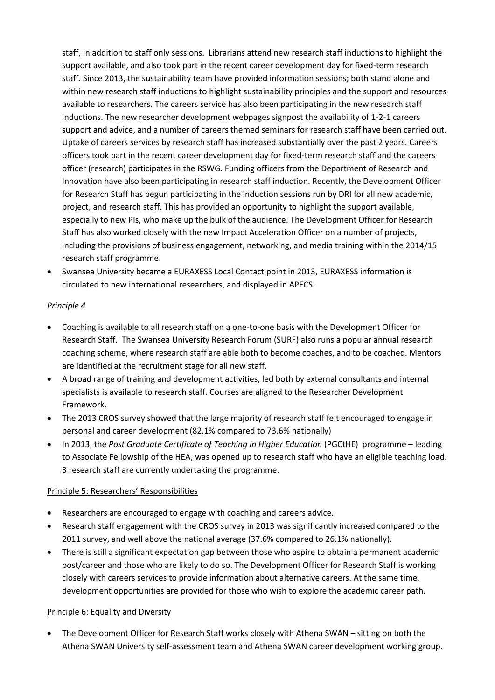staff, in addition to staff only sessions. Librarians attend new research staff inductions to highlight the support available, and also took part in the recent career development day for fixed-term research staff. Since 2013, the sustainability team have provided information sessions; both stand alone and within new research staff inductions to highlight sustainability principles and the support and resources available to researchers. The careers service has also been participating in the new research staff inductions. The new researcher development webpages signpost the availability of 1-2-1 careers support and advice, and a number of careers themed seminars for research staff have been carried out. Uptake of careers services by research staff has increased substantially over the past 2 years. Careers officers took part in the recent career development day for fixed-term research staff and the careers officer (research) participates in the RSWG. Funding officers from the Department of Research and Innovation have also been participating in research staff induction. Recently, the Development Officer for Research Staff has begun participating in the induction sessions run by DRI for all new academic, project, and research staff. This has provided an opportunity to highlight the support available, especially to new PIs, who make up the bulk of the audience. The Development Officer for Research Staff has also worked closely with the new Impact Acceleration Officer on a number of projects, including the provisions of business engagement, networking, and media training within the 2014/15 research staff programme.

 Swansea University became a EURAXESS Local Contact point in 2013, EURAXESS information is circulated to new international researchers, and displayed in APECS.

### *Principle 4*

- Coaching is available to all research staff on a one-to-one basis with the Development Officer for Research Staff. The Swansea University Research Forum (SURF) also runs a popular annual research coaching scheme, where research staff are able both to become coaches, and to be coached. Mentors are identified at the recruitment stage for all new staff.
- A broad range of training and development activities, led both by external consultants and internal specialists is available to research staff. Courses are aligned to the Researcher Development Framework.
- The 2013 CROS survey showed that the large majority of research staff felt encouraged to engage in personal and career development (82.1% compared to 73.6% nationally)
- In 2013, the *Post Graduate Certificate of Teaching in Higher Education* (PGCtHE) programme leading to Associate Fellowship of the HEA, was opened up to research staff who have an eligible teaching load. 3 research staff are currently undertaking the programme.

#### Principle 5: Researchers' Responsibilities

- Researchers are encouraged to engage with coaching and careers advice.
- Research staff engagement with the CROS survey in 2013 was significantly increased compared to the 2011 survey, and well above the national average (37.6% compared to 26.1% nationally).
- There is still a significant expectation gap between those who aspire to obtain a permanent academic post/career and those who are likely to do so. The Development Officer for Research Staff is working closely with careers services to provide information about alternative careers. At the same time, development opportunities are provided for those who wish to explore the academic career path.

#### Principle 6: Equality and Diversity

• The Development Officer for Research Staff works closely with Athena SWAN – sitting on both the Athena SWAN University self-assessment team and Athena SWAN career development working group.